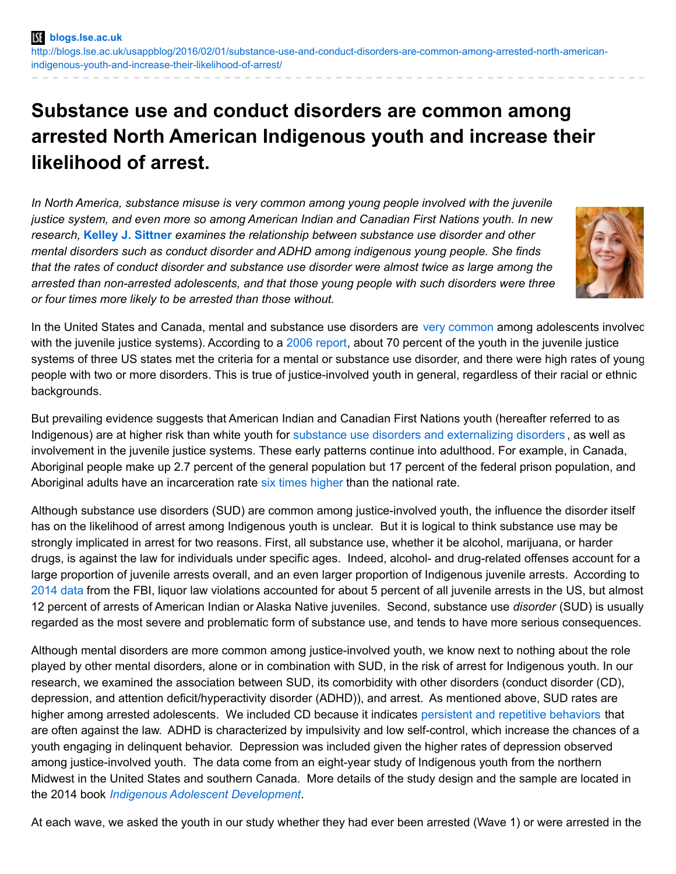# **Substance use and conduct disorders are common among arrested North American Indigenous youth and increase their likelihood of arrest.**

*In North America, substance misuse is very common among young people involved with the juvenile justice system, and even more so among American Indian and Canadian First Nations youth. In new research,* **Kelley J. [Sittner](http://wp.me/p3I2YF-4Of#Author)** *examines the relationship between substance use disorder and other mental disorders such as conduct disorder and ADHD among indigenous young people. She finds that the rates of conduct disorder and substance use disorder were almost twice as large among the arrested than non-arrested adolescents, and that those young people with such disorders were three or four times more likely to be arrested than those without.*



In the United States and Canada, mental and substance use disorders are very [common](http://www.ncbi.nlm.nih.gov/pmc/articles/PMC2538725/) among adolescents involved with the juvenile justice systems). According to a 2006 [report](http://www.ncmhjj.com/wp-content/uploads/2015/02/2006_Youth_with_Mental_Health_Disorders_in_the_Juvenile_Justice_System.pdf), about 70 percent of the youth in the juvenile justice systems of three US states met the criteria for a mental or substance use disorder, and there were high rates of young people with two or more disorders. This is true of justice-involved youth in general, regardless of their racial or ethnic backgrounds.

But prevailing evidence suggests that American Indian and Canadian First Nations youth (hereafter referred to as Indigenous) are at higher risk than white youth for substance use disorders and [externalizing](http://www.ncbi.nlm.nih.gov/books/NBK44242/) disorders , as well as involvement in the juvenile justice systems. These early patterns continue into adulthood. For example, in Canada, Aboriginal people make up 2.7 percent of the general population but 17 percent of the federal prison population, and Aboriginal adults have an incarceration rate six times [higher](http://www.csc-scc.gc.ca/aboriginal/002003-1008-eng.shtml) than the national rate.

Although substance use disorders (SUD) are common among justice-involved youth, the influence the disorder itself has on the likelihood of arrest among Indigenous youth is unclear. But it is logical to think substance use may be strongly implicated in arrest for two reasons. First, all substance use, whether it be alcohol, marijuana, or harder drugs, is against the law for individuals under specific ages. Indeed, alcohol- and drug-related offenses account for a large proportion of juvenile arrests overall, and an even larger proportion of Indigenous juvenile arrests. According to [2014](https://www.fbi.gov/about-us/cjis/ucr/crime-in-the-u.s/2014/crime-in-the-u.s.-2014/tables/table-43) data from the FBI, liquor law violations accounted for about 5 percent of all juvenile arrests in the US, but almost 12 percent of arrests of American Indian or Alaska Native juveniles. Second, substance use *disorder* (SUD) is usually regarded as the most severe and problematic form of substance use, and tends to have more serious consequences.

Although mental disorders are more common among justice-involved youth, we know next to nothing about the role played by other mental disorders, alone or in combination with SUD, in the risk of arrest for Indigenous youth. In our research, we examined the association between SUD, its comorbidity with other disorders (conduct disorder (CD), depression, and attention deficit/hyperactivity disorder (ADHD)), and arrest. As mentioned above, SUD rates are higher among arrested adolescents. We included CD because it indicates persistent and repetitive [behaviors](http://dsm.psychiatryonline.org/doi/full/10.1176/appi.books.9780890425596.dsm15#CHDJGHCC) that are often against the law. ADHD is characterized by impulsivity and low self-control, which increase the chances of a youth engaging in delinquent behavior. Depression was included given the higher rates of depression observed among justice-involved youth. The data come from an eight-year study of Indigenous youth from the northern Midwest in the United States and southern Canada. More details of the study design and the sample are located in the 2014 book *Indigenous Adolescent [Development](https://www.routledge.com/products/9780415716062)*.

At each wave, we asked the youth in our study whether they had ever been arrested (Wave 1) or were arrested in the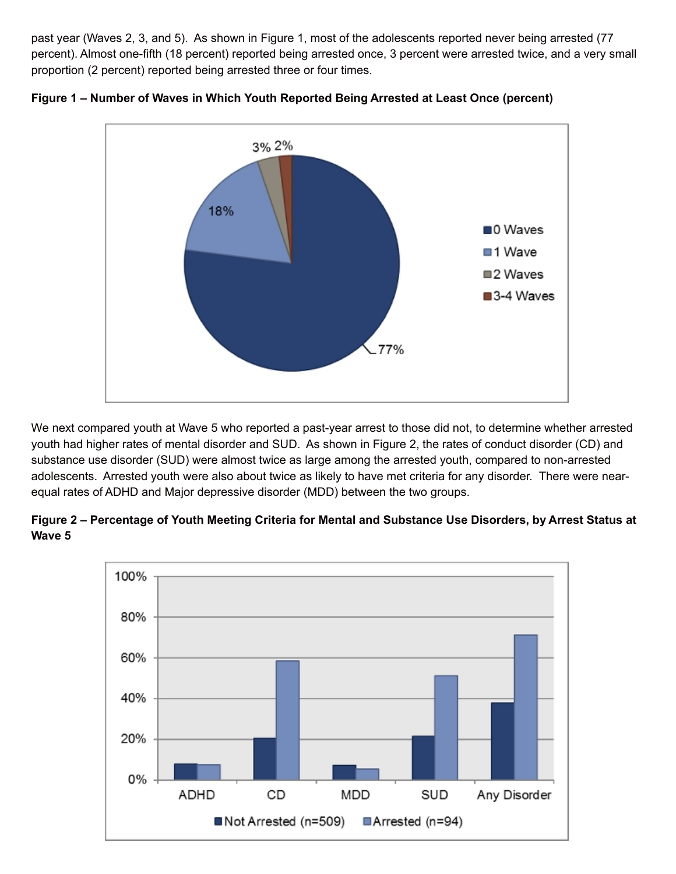past year (Waves 2, 3, and 5). As shown in Figure 1, most of the adolescents reported never being arrested (77 percent). Almost one-fifth (18 percent) reported being arrested once, 3 percent were arrested twice, and a very small proportion (2 percent) reported being arrested three or four times.



**Figure 1 – Number of Waves in Which Youth Reported Being Arrested at Least Once (percent)**

We next compared youth at Wave 5 who reported a past-year arrest to those did not, to determine whether arrested youth had higher rates of mental disorder and SUD. As shown in Figure 2, the rates of conduct disorder (CD) and substance use disorder (SUD) were almost twice as large among the arrested youth, compared to non-arrested adolescents. Arrested youth were also about twice as likely to have met criteria for any disorder. There were nearequal rates of ADHD and Major depressive disorder (MDD) between the two groups.



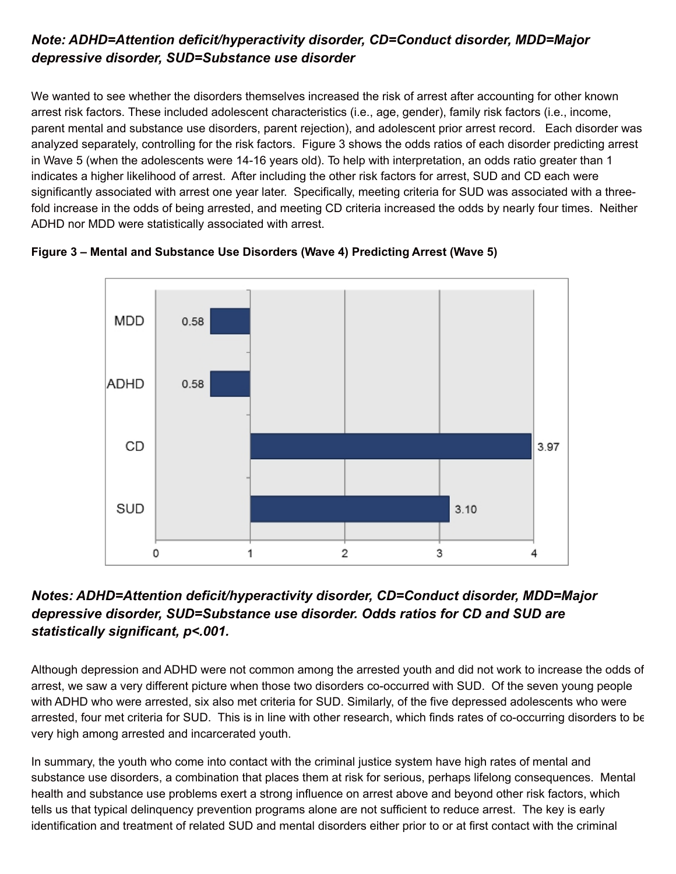## *Note: ADHD=Attention deficit/hyperactivity disorder, CD=Conduct disorder, MDD=Major depressive disorder, SUD=Substance use disorder*

We wanted to see whether the disorders themselves increased the risk of arrest after accounting for other known arrest risk factors. These included adolescent characteristics (i.e., age, gender), family risk factors (i.e., income, parent mental and substance use disorders, parent rejection), and adolescent prior arrest record. Each disorder was analyzed separately, controlling for the risk factors. Figure 3 shows the odds ratios of each disorder predicting arrest in Wave 5 (when the adolescents were 14-16 years old). To help with interpretation, an odds ratio greater than 1 indicates a higher likelihood of arrest. After including the other risk factors for arrest, SUD and CD each were significantly associated with arrest one year later. Specifically, meeting criteria for SUD was associated with a threefold increase in the odds of being arrested, and meeting CD criteria increased the odds by nearly four times. Neither ADHD nor MDD were statistically associated with arrest.



**Figure 3 – Mental and Substance Use Disorders (Wave 4) Predicting Arrest (Wave 5)**

## *Notes: ADHD=Attention deficit/hyperactivity disorder, CD=Conduct disorder, MDD=Major depressive disorder, SUD=Substance use disorder. Odds ratios for CD and SUD are statistically significant, p<.001.*

Although depression and ADHD were not common among the arrested youth and did not work to increase the odds of arrest, we saw a very different picture when those two disorders co-occurred with SUD. Of the seven young people with ADHD who were arrested, six also met criteria for SUD. Similarly, of the five depressed adolescents who were arrested, four met criteria for SUD. This is in line with other research, which finds rates of co-occurring disorders to be very high among arrested and incarcerated youth.

In summary, the youth who come into contact with the criminal justice system have high rates of mental and substance use disorders, a combination that places them at risk for serious, perhaps lifelong consequences. Mental health and substance use problems exert a strong influence on arrest above and beyond other risk factors, which tells us that typical delinquency prevention programs alone are not sufficient to reduce arrest. The key is early identification and treatment of related SUD and mental disorders either prior to or at first contact with the criminal